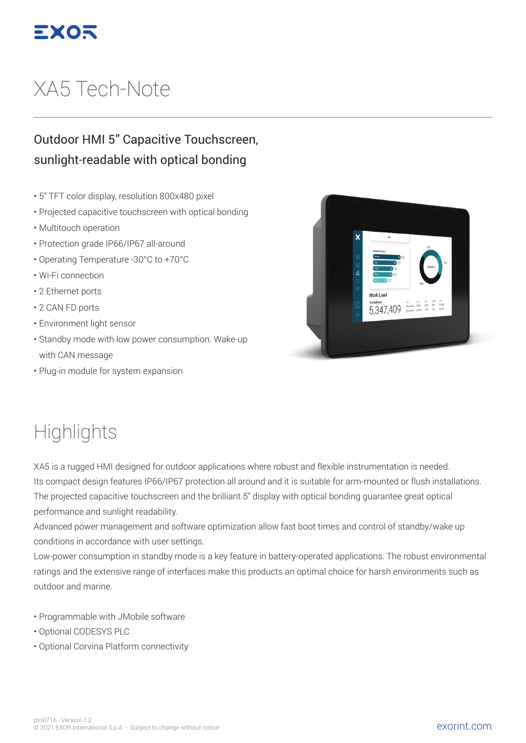

# XA5 Tech-Note

#### Outdoor HMI 5" Capacitive Touchscreen, sunlight-readable with optical bonding

- 5" TFT color display, resolution 800x480 pixel
- Projected capacitive touchscreen with optical bonding
- Multitouch operation
- Protection grade IP66/IP67 all-around
- Operating Temperature -30°C to +70°C
- Wi-Fi connection
- 2 Ethernet ports
- 2 CAN FD ports
- Environment light sensor
- Standby mode with low power consumption. Wake-up with CAN message
- Plug-in module for system expansion



## **Highlights**

XA5 is a rugged HMI designed for outdoor applications where robust and flexible instrumentation is needed. Its compact design features IP66/IP67 protection all around and it is suitable for arm-mounted or flush installations. The projected capacitive touchscreen and the brilliant 5" display with optical bonding guarantee great optical performance and sunlight readability.

Advanced power management and software optimization allow fast boot times and control of standby/wake up conditions in accordance with user settings.

Low-power consumption in standby mode is a key feature in battery-operated applications. The robust environmental ratings and the extensive range of interfaces make this products an optimal choice for harsh environments such as outdoor and marine.

- Programmable with JMobile software
- Optional CODESYS PLC
- Optional Corvina Platform connectivity